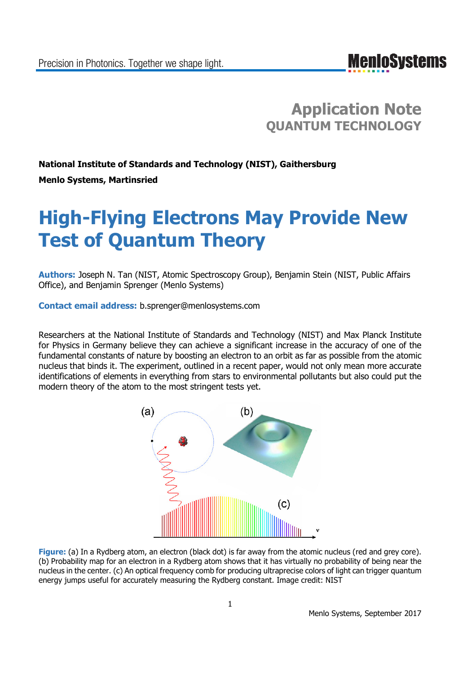### **Application Note QUANTUM TECHNOLOGY**

## **National Institute of Standards and Technology (NIST), Gaithersburg**

**Menlo Systems, Martinsried**

# **High-Flying Electrons May Provide New Test of Quantum Theory**

**Authors:** Joseph N. Tan (NIST, Atomic Spectroscopy Group), Benjamin Stein (NIST, Public Affairs Office), and Benjamin Sprenger (Menlo Systems)

**Contact email address:** b.sprenger@menlosystems.com

Researchers at the National Institute of Standards and Technology (NIST) and Max Planck Institute for Physics in Germany believe they can achieve a significant increase in the accuracy of one of the fundamental constants of nature by boosting an electron to an orbit as far as possible from the atomic nucleus that binds it. The experiment, outlined in a recent paper, would not only mean more accurate identifications of elements in everything from stars to environmental pollutants but also could put the modern theory of the atom to the most stringent tests yet.



**Figure:** (a) In a Rydberg atom, an electron (black dot) is far away from the atomic nucleus (red and grey core). (b) Probability map for an electron in a Rydberg atom shows that it has virtually no probability of being near the nucleus in the center. (c) An optical frequency comb for producing ultraprecise colors of light can trigger quantum energy jumps useful for accurately measuring the Rydberg constant. Image credit: NIST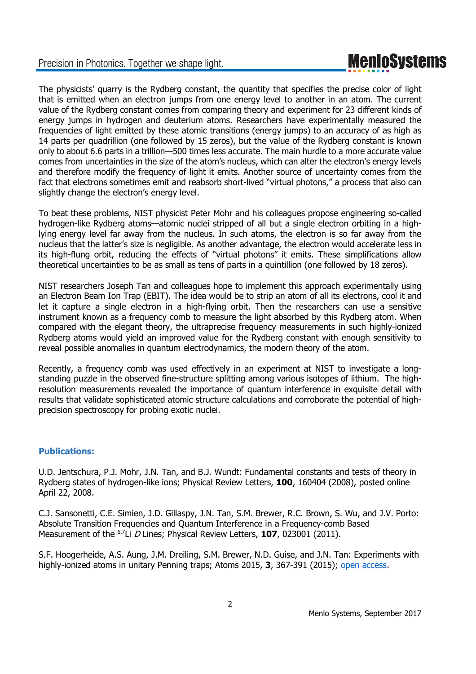### Precision in Photonics. Together we shape light.

## **MenIoSystems**

The physicists' quarry is the Rydberg constant, the quantity that specifies the precise color of light that is emitted when an electron jumps from one energy level to another in an atom. The current value of the Rydberg constant comes from comparing theory and experiment for 23 different kinds of energy jumps in hydrogen and deuterium atoms. Researchers have experimentally measured the frequencies of light emitted by these atomic transitions (energy jumps) to an accuracy of as high as 14 parts per quadrillion (one followed by 15 zeros), but the value of the Rydberg constant is known only to about 6.6 parts in a trillion—500 times less accurate. The main hurdle to a more accurate value comes from uncertainties in the size of the atom's nucleus, which can alter the electron's energy levels and therefore modify the frequency of light it emits. Another source of uncertainty comes from the fact that electrons sometimes emit and reabsorb short-lived "virtual photons," a process that also can slightly change the electron's energy level.

To beat these problems, NIST physicist Peter Mohr and his colleagues propose engineering so-called hydrogen-like Rydberg atoms—atomic nuclei stripped of all but a single electron orbiting in a highlying energy level far away from the nucleus. In such atoms, the electron is so far away from the nucleus that the latter's size is negligible. As another advantage, the electron would accelerate less in its high-flung orbit, reducing the effects of "virtual photons" it emits. These simplifications allow theoretical uncertainties to be as small as tens of parts in a quintillion (one followed by 18 zeros).

NIST researchers Joseph Tan and colleagues hope to implement this approach experimentally using an Electron Beam Ion Trap (EBIT). The idea would be to strip an atom of all its electrons, cool it and let it capture a single electron in a high-flying orbit. Then the researchers can use a sensitive instrument known as a frequency comb to measure the light absorbed by this Rydberg atom. When compared with the elegant theory, the ultraprecise frequency measurements in such highly-ionized Rydberg atoms would yield an improved value for the Rydberg constant with enough sensitivity to reveal possible anomalies in quantum electrodynamics, the modern theory of the atom.

Recently, a frequency comb was used effectively in an experiment at NIST to investigate a longstanding puzzle in the observed fine-structure splitting among various isotopes of lithium. The highresolution measurements revealed the importance of quantum interference in exquisite detail with results that validate sophisticated atomic structure calculations and corroborate the potential of highprecision spectroscopy for probing exotic nuclei.

### **Publications:**

U.D. Jentschura, P.J. Mohr, J.N. Tan, and B.J. Wundt: Fundamental constants and tests of theory in Rydberg states of hydrogen-like ions; Physical Review Letters, **100**, 160404 (2008), posted online April 22, 2008.

C.J. Sansonetti, C.E. Simien, J.D. Gillaspy, J.N. Tan, S.M. Brewer, R.C. Brown, S. Wu, and J.V. Porto: Absolute Transition Frequencies and Quantum Interference in a Frequency-comb Based Measurement of the <sup>6,7</sup>Li *D* Lines; Physical Review Letters, **107**, 023001 (2011).

S.F. Hoogerheide, A.S. Aung, J.M. Dreiling, S.M. Brewer, N.D. Guise, and J.N. Tan: Experiments with highly-ionized atoms in unitary Penning traps; Atoms 2015, **3**, 367-391 (2015); open access.